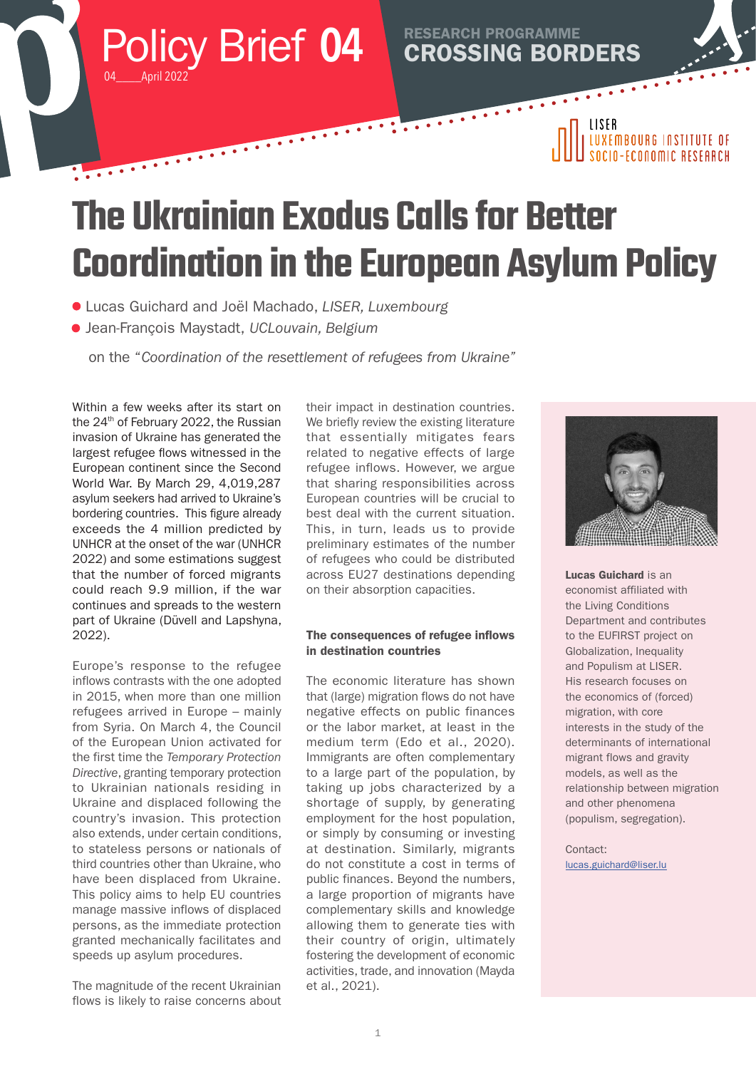Policy Brief 04 **CROSSING BORDERS** RESEARCH PROGRAMME 04\_\_\_\_April 2022

## | LUXEMBOURG INSTITUTE OF **N-FCONOMIC RESEARCH**

LISER

 $\bullet$   $\bullet$   $\bullet$ 

# **The Ukrainian Exodus Calls for Better Coordination in the European Asylum Policy**

 $\dddotsc$ 

- Lucas Guichard and Joël Machado, *LISER, Luxembourg*
- Jean-François Maystadt, *UCLouvain, Belgium*

Marian Barbara

on the "*Coordination of the resettlement of refugees from Ukraine"*

Within a few weeks after its start on the 24<sup>th</sup> of February 2022, the Russian invasion of Ukraine has generated the largest refugee flows witnessed in the European continent since the Second World War. By March 29, 4,019,287 asylum seekers had arrived to Ukraine's bordering countries. This figure already exceeds the 4 million predicted by UNHCR at the onset of the war (UNHCR 2022) and some estimations suggest that the number of forced migrants could reach 9.9 million, if the war continues and spreads to the western part of Ukraine (Düvell and Lapshyna, 2022).

Europe's response to the refugee inflows contrasts with the one adopted in 2015, when more than one million refugees arrived in Europe – mainly from Syria. On March 4, the Council of the European Union activated for the first time the *Temporary Protection Directive*, granting temporary protection to Ukrainian nationals residing in Ukraine and displaced following the country's invasion. This protection also extends, under certain conditions, to stateless persons or nationals of third countries other than Ukraine, who have been displaced from Ukraine. This policy aims to help EU countries manage massive inflows of displaced persons, as the immediate protection granted mechanically facilitates and speeds up asylum procedures.

The magnitude of the recent Ukrainian flows is likely to raise concerns about their impact in destination countries. We briefly review the existing literature that essentially mitigates fears related to negative effects of large refugee inflows. However, we argue that sharing responsibilities across European countries will be crucial to best deal with the current situation. This, in turn, leads us to provide preliminary estimates of the number of refugees who could be distributed across EU27 destinations depending on their absorption capacities.

### The consequences of refugee inflows in destination countries

The economic literature has shown that (large) migration flows do not have negative effects on public finances or the labor market, at least in the medium term (Edo et al., 2020). Immigrants are often complementary to a large part of the population, by taking up jobs characterized by a shortage of supply, by generating employment for the host population, or simply by consuming or investing at destination. Similarly, migrants do not constitute a cost in terms of public finances. Beyond the numbers, a large proportion of migrants have complementary skills and knowledge allowing them to generate ties with their country of origin, ultimately fostering the development of economic activities, trade, and innovation (Mayda et al., 2021).



Lucas Guichard is an economist affiliated with the Living Conditions Department and contributes to the EUFIRST project on Globalization, Inequality and Populism at LISER. His research focuses on the economics of (forced) migration, with core interests in the study of the determinants of international migrant flows and gravity models, as well as the relationship between migration and other phenomena (populism, segregation).

Contact: lucas.guichard@liser.lu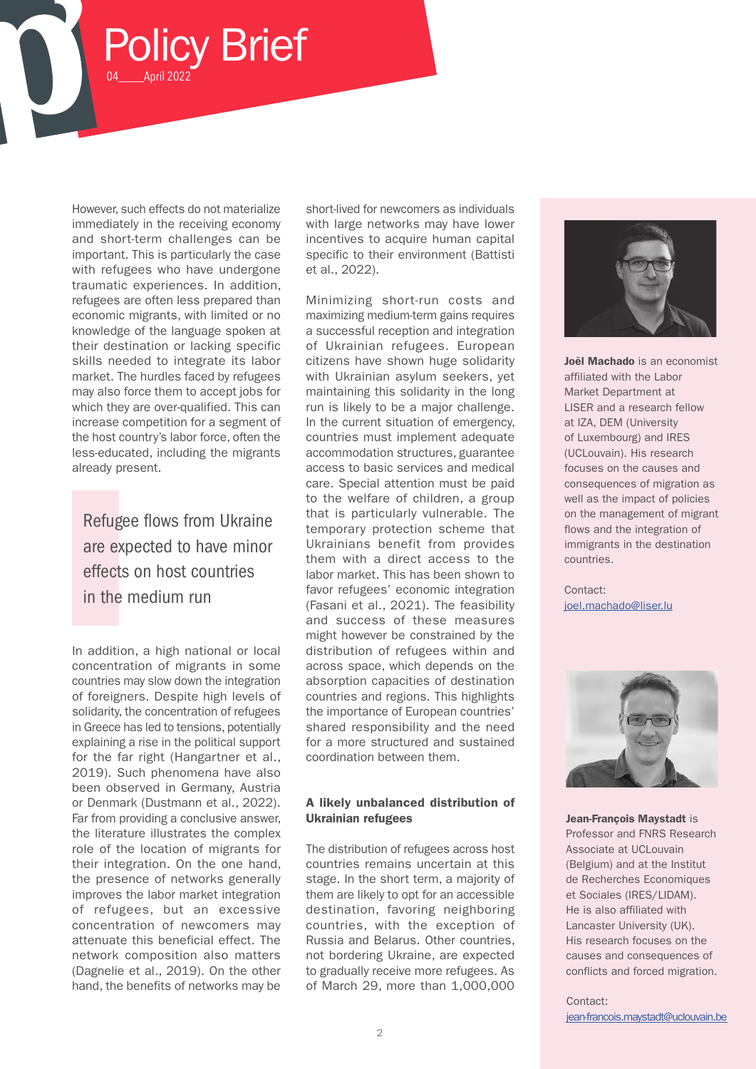However, such effects do not materialize immediately in the receiving economy and short-term challenges can be important. This is particularly the case with refugees who have undergone traumatic experiences. In addition, refugees are often less prepared than economic migrants, with limited or no knowledge of the language spoken at their destination or lacking specific skills needed to integrate its labor market. The hurdles faced by refugees may also force them to accept jobs for which they are over-qualified. This can increase competition for a segment of the host country's labor force, often the less-educated, including the migrants already present.

Policy Brief

04\_\_\_\_April 2022

Refugee flows from Ukraine are expected to have minor effects on host countries

In addition, a high national or local concentration of migrants in some countries may slow down the integration of foreigners. Despite high levels of solidarity, the concentration of refugees in Greece has led to tensions, potentially explaining a rise in the political support for the far right (Hangartner et al., 2019). Such phenomena have also been observed in Germany, Austria or Denmark (Dustmann et al., 2022). Far from providing a conclusive answer, the literature illustrates the complex role of the location of migrants for their integration. On the one hand, the presence of networks generally improves the labor market integration of refugees, but an excessive concentration of newcomers may attenuate this beneficial effect. The network composition also matters (Dagnelie et al., 2019). On the other hand, the benefits of networks may be

short-lived for newcomers as individuals with large networks may have lower incentives to acquire human capital specific to their environment (Battisti et al., 2022).

Minimizing short-run costs and maximizing medium-term gains requires a successful reception and integration of Ukrainian refugees. European citizens have shown huge solidarity with Ukrainian asylum seekers, yet maintaining this solidarity in the long run is likely to be a major challenge. In the current situation of emergency, countries must implement adequate accommodation structures, guarantee access to basic services and medical care. Special attention must be paid to the welfare of children, a group that is particularly vulnerable. The temporary protection scheme that Ukrainians benefit from provides them with a direct access to the labor market. This has been shown to in the medium run<br>
Fasani et al. 2021) The feasibility in the machine (Fasani et al., 2021). The feasibility and success of these measures might however be constrained by the distribution of refugees within and across space, which depends on the absorption capacities of destination countries and regions. This highlights the importance of European countries' shared responsibility and the need for a more structured and sustained coordination between them.

#### A likely unbalanced distribution of Ukrainian refugees

The distribution of refugees across host countries remains uncertain at this stage. In the short term, a majority of them are likely to opt for an accessible destination, favoring neighboring countries, with the exception of Russia and Belarus. Other countries, not bordering Ukraine, are expected to gradually receive more refugees. As of March 29, more than 1,000,000



Joël Machado is an economist affiliated with the Labor Market Department at LISER and a research fellow at IZA, DEM (University of Luxembourg) and IRES (UCLouvain). His research focuses on the causes and consequences of migration as well as the impact of policies on the management of migrant flows and the integration of immigrants in the destination countries.

[joel.machado@liser.lu](mailto:joel.machado%40liser.lu?subject=)



Jean-François Maystadt is Professor and FNRS Research Associate at UCLouvain (Belgium) and at the Institut de Recherches Economiques et Sociales (IRES/LIDAM). He is also affiliated with Lancaster University (UK). His research focuses on the causes and consequences of conflicts and forced migration.

Contact: [jean-francois.maystadt@uclouvain.be](mailto:jean-francois.maystadt%40uclouvain.be?subject=)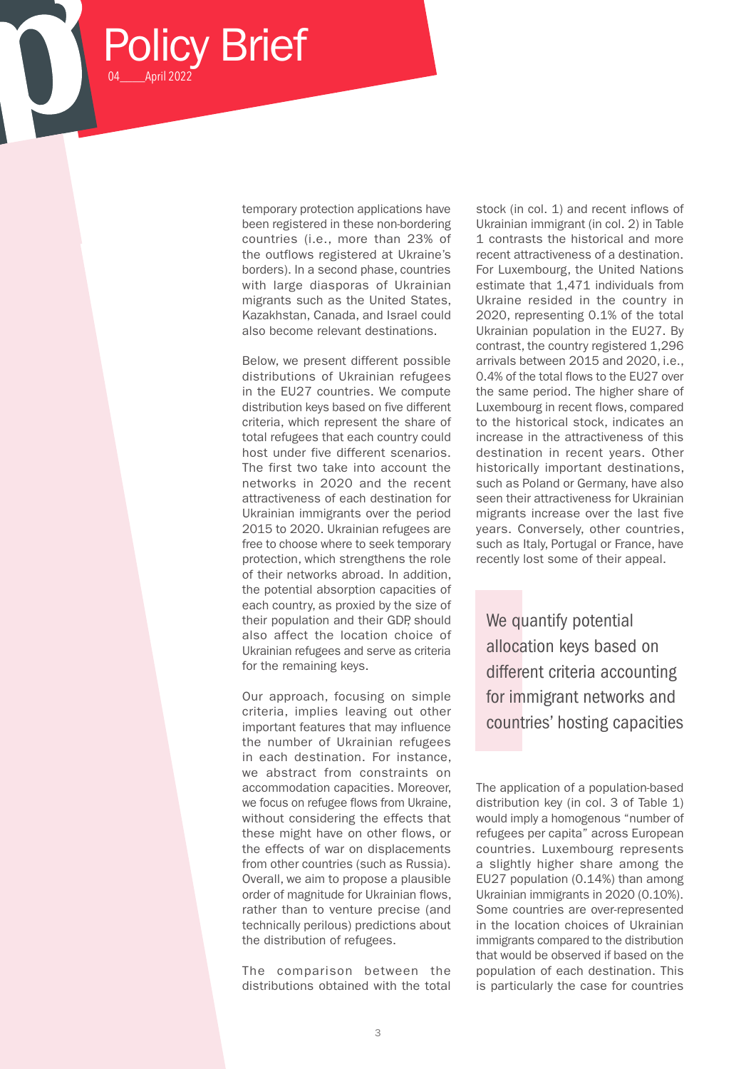temporary protection applications have been registered in these non-bordering countries (i.e., more than 23% of the outflows registered at Ukraine's borders). In a second phase, countries with large diasporas of Ukrainian migrants such as the United States, Kazakhstan, Canada, and Israel could also become relevant destinations.

Policy Brief

04\_\_\_\_April 2022

Below, we present different possible distributions of Ukrainian refugees in the EU27 countries. We compute distribution keys based on five different criteria, which represent the share of total refugees that each country could host under five different scenarios. The first two take into account the networks in 2020 and the recent attractiveness of each destination for Ukrainian immigrants over the period 2015 to 2020. Ukrainian refugees are free to choose where to seek temporary protection, which strengthens the role of their networks abroad. In addition, the potential absorption capacities of each country, as proxied by the size of their population and their GDP should also affect the location choice of Ukrainian refugees and serve as criteria for the remaining keys.

Our approach, focusing on simple criteria, implies leaving out other important features that may influence the number of Ukrainian refugees in each destination. For instance, we abstract from constraints on accommodation capacities. Moreover, we focus on refugee flows from Ukraine, without considering the effects that these might have on other flows, or the effects of war on displacements from other countries (such as Russia). Overall, we aim to propose a plausible order of magnitude for Ukrainian flows, rather than to venture precise (and technically perilous) predictions about the distribution of refugees.

The comparison between the distributions obtained with the total

stock (in col. 1) and recent inflows of Ukrainian immigrant (in col. 2) in Table 1 contrasts the historical and more recent attractiveness of a destination. For Luxembourg, the United Nations estimate that 1,471 individuals from Ukraine resided in the country in 2020, representing 0.1% of the total Ukrainian population in the EU27. By contrast, the country registered 1,296 arrivals between 2015 and 2020, i.e., 0.4% of the total flows to the EU27 over the same period. The higher share of Luxembourg in recent flows, compared to the historical stock, indicates an increase in the attractiveness of this destination in recent years. Other historically important destinations, such as Poland or Germany, have also seen their attractiveness for Ukrainian migrants increase over the last five years. Conversely, other countries, such as Italy, Portugal or France, have recently lost some of their appeal.

We quantify potential allocation keys based on different criteria accounting for immigrant networks and countries' hosting capacities

The application of a population-based distribution key (in col. 3 of Table 1) would imply a homogenous "number of refugees per capita" across European countries. Luxembourg represents a slightly higher share among the EU27 population (0.14%) than among Ukrainian immigrants in 2020 (0.10%). Some countries are over-represented in the location choices of Ukrainian immigrants compared to the distribution that would be observed if based on the population of each destination. This is particularly the case for countries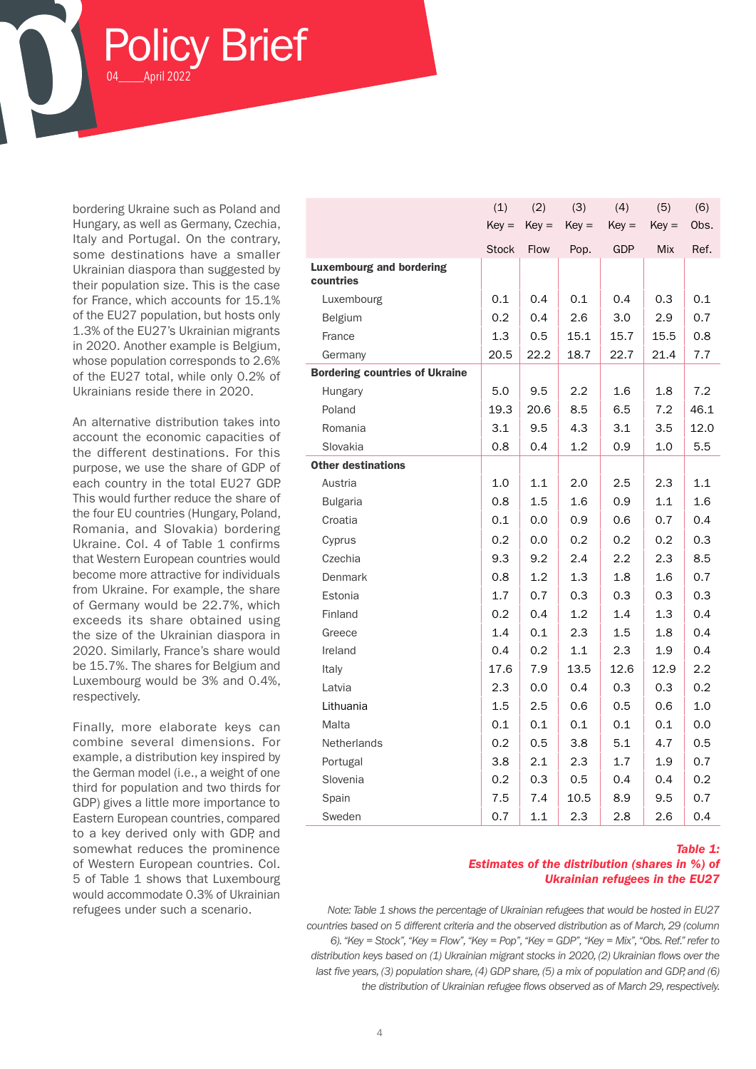bordering Ukraine such as Poland and Hungary, as well as Germany, Czechia, Italy and Portugal. On the contrary, some destinations have a smaller Ukrainian diaspora than suggested by their population size. This is the case for France, which accounts for 15.1% of the EU27 population, but hosts only 1.3% of the EU27's Ukrainian migrants in 2020. Another example is Belgium, whose population corresponds to 2.6% of the EU27 total, while only 0.2% of Ukrainians reside there in 2020.

April 2022

olicy Brief

An alternative distribution takes into account the economic capacities of the different destinations. For this purpose, we use the share of GDP of each country in the total EU27 GDP. This would further reduce the share of the four EU countries (Hungary, Poland, Romania, and Slovakia) bordering Ukraine. Col. 4 of Table 1 confirms that Western European countries would become more attractive for individuals from Ukraine. For example, the share of Germany would be 22.7%, which exceeds its share obtained using the size of the Ukrainian diaspora in 2020. Similarly, France's share would be 15.7%. The shares for Belgium and Luxembourg would be 3% and 0.4%, respectively.

Finally, more elaborate keys can combine several dimensions. For example, a distribution key inspired by the German model (i.e., a weight of one third for population and two thirds for GDP) gives a little more importance to Eastern European countries, compared to a key derived only with GDP, and somewhat reduces the prominence of Western European countries. Col. 5 of Table 1 shows that Luxembourg would accommodate 0.3% of Ukrainian

|                                              | (1)          | (2)     | (3)     | (4)        | (5)        | (6)  |
|----------------------------------------------|--------------|---------|---------|------------|------------|------|
|                                              | $Key =$      | $Key =$ | $Key =$ | $Key =$    | $Key =$    | Obs. |
|                                              | <b>Stock</b> | Flow    | Pop.    | <b>GDP</b> | <b>Mix</b> | Ref. |
| <b>Luxembourg and bordering</b><br>countries |              |         |         |            |            |      |
| Luxembourg                                   | 0.1          | 0.4     | 0.1     | 0.4        | 0.3        | 0.1  |
| Belgium                                      | 0.2          | 0.4     | 2.6     | 3.0        | 2.9        | 0.7  |
| France                                       | 1.3          | 0.5     | 15.1    | 15.7       | 15.5       | 0.8  |
| Germany                                      | 20.5         | 22.2    | 18.7    | 22.7       | 21.4       | 7.7  |
| <b>Bordering countries of Ukraine</b>        |              |         |         |            |            |      |
| <b>Hungary</b>                               | 5.0          | 9.5     | 2.2     | 1.6        | 1.8        | 7.2  |
| Poland                                       | 19.3         | 20.6    | 8.5     | 6.5        | 7.2        | 46.1 |
| Romania                                      | 3.1          | 9.5     | 4.3     | 3.1        | 3.5        | 12.0 |
| Slovakia                                     | 0.8          | 0.4     | 1.2     | 0.9        | 1.0        | 5.5  |
| <b>Other destinations</b>                    |              |         |         |            |            |      |
| Austria                                      | 1.0          | 1.1     | 2.0     | 2.5        | 2.3        | 1.1  |
| <b>Bulgaria</b>                              | 0.8          | 1.5     | 1.6     | 0.9        | 1.1        | 1.6  |
| Croatia                                      | 0.1          | 0.0     | 0.9     | 0.6        | 0.7        | 0.4  |
| Cyprus                                       | 0.2          | 0.0     | 0.2     | 0.2        | 0.2        | 0.3  |
| Czechia                                      | 9.3          | 9.2     | 2.4     | 2.2        | 2.3        | 8.5  |
| <b>Denmark</b>                               | 0.8          | 1.2     | 1.3     | 1.8        | 1.6        | 0.7  |
| Estonia                                      | 1.7          | 0.7     | 0.3     | 0.3        | 0.3        | 0.3  |
| Finland                                      | 0.2          | 0.4     | 1.2     | 1.4        | 1.3        | 0.4  |
| Greece                                       | 1.4          | 0.1     | 2.3     | 1.5        | 1.8        | 0.4  |
| Ireland                                      | 0.4          | 0.2     | 1.1     | 2.3        | 1.9        | 0.4  |
| Italy                                        | 17.6         | 7.9     | 13.5    | 12.6       | 12.9       | 2.2  |
| Latvia                                       | 2.3          | 0.0     | 0.4     | 0.3        | 0.3        | 0.2  |
| Lithuania                                    | 1.5          | 2.5     | 0.6     | 0.5        | 0.6        | 1.0  |
| Malta                                        | 0.1          | 0.1     | 0.1     | 0.1        | 0.1        | 0.0  |
| Netherlands                                  | 0.2          | 0.5     | 3.8     | 5.1        | 4.7        | 0.5  |
| Portugal                                     | 3.8          | $2.1\,$ | 2.3     | 1.7        | 1.9        | 0.7  |
| Slovenia                                     | 0.2          | 0.3     | 0.5     | 0.4        | 0.4        | 0.2  |
| Spain                                        | 7.5          | 7.4     | 10.5    | 8.9        | 9.5        | 0.7  |
| Sweden                                       | 0.7          | 1.1     | 2.3     | 2.8        | 2.6        | 0.4  |

#### *Table 1: Estimates of the distribution (shares in %) of Ukrainian refugees in the EU27*

refugees under such a scenario. *Note: Table 1 shows the percentage of Ukrainian refugees that would be hosted in EU27 countries based on 5 different criteria and the observed distribution as of March, 29 (column 6). "Key = Stock", "Key = Flow", "Key = Pop", "Key = GDP", "Key = Mix", "Obs. Ref." refer to distribution keys based on (1) Ukrainian migrant stocks in 2020, (2) Ukrainian flows over the last five years, (3) population share, (4) GDP share, (5) a mix of population and GDP, and (6) the distribution of Ukrainian refugee flows observed as of March 29, respectively.*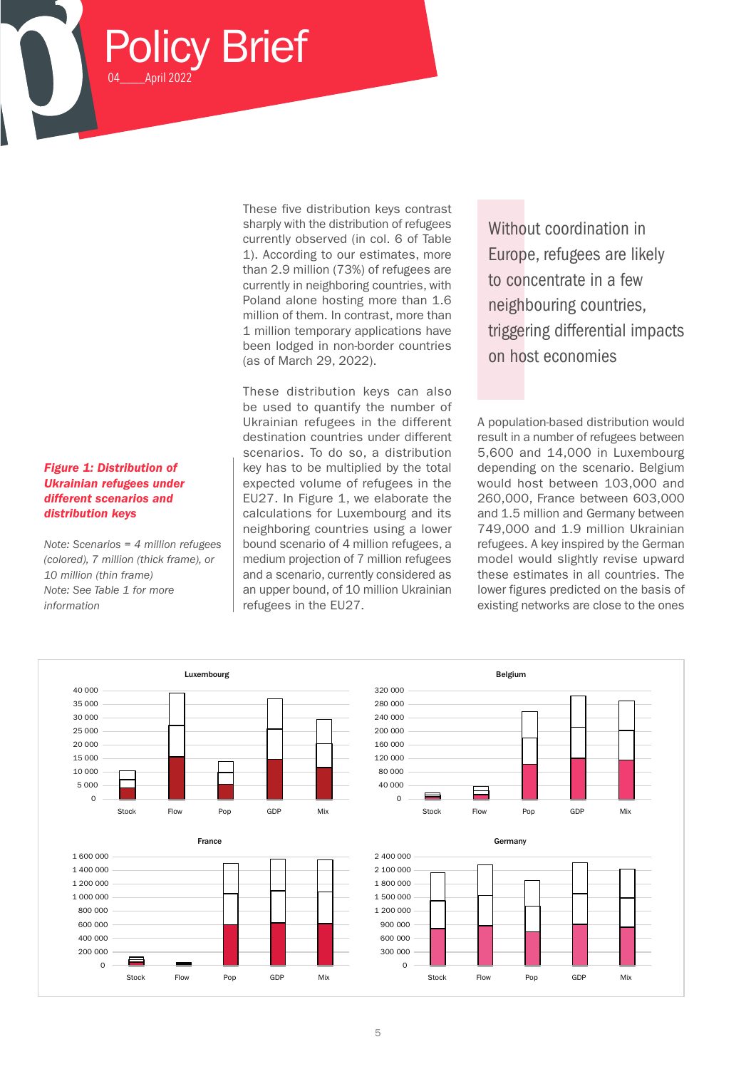These five distribution keys contrast sharply with the distribution of refugees currently observed (in col. 6 of Table 1). According to our estimates, more than 2.9 million (73%) of refugees are currently in neighboring countries, with Poland alone hosting more than 1.6 million of them. In contrast, more than 1 million temporary applications have been lodged in non-border countries (as of March 29, 2022).

These distribution keys can also be used to quantify the number of Ukrainian refugees in the different destination countries under different scenarios. To do so, a distribution key has to be multiplied by the total expected volume of refugees in the EU27. In Figure 1, we elaborate the calculations for Luxembourg and its neighboring countries using a lower bound scenario of 4 million refugees, a medium projection of 7 million refugees and a scenario, currently considered as an upper bound, of 10 million Ukrainian refugees in the EU27.

Without coordination in Europe, refugees are likely to concentrate in a few neighbouring countries, triggering differential impacts on host economies

A population-based distribution would result in a number of refugees between 5,600 and 14,000 in Luxembourg depending on the scenario. Belgium would host between 103,000 and 260,000, France between 603,000 and 1.5 million and Germany between 749,000 and 1.9 million Ukrainian refugees. A key inspired by the German model would slightly revise upward these estimates in all countries. The lower figures predicted on the basis of existing networks are close to the ones



Policy Brief

April 2022

*Figure 1: Distribution of Ukrainian refugees under different scenarios and distribution keys*

*10 million (thin frame) Note: See Table 1 for more* 

*information*

*Note: Scenarios = 4 million refugees (colored), 7 million (thick frame), or* 

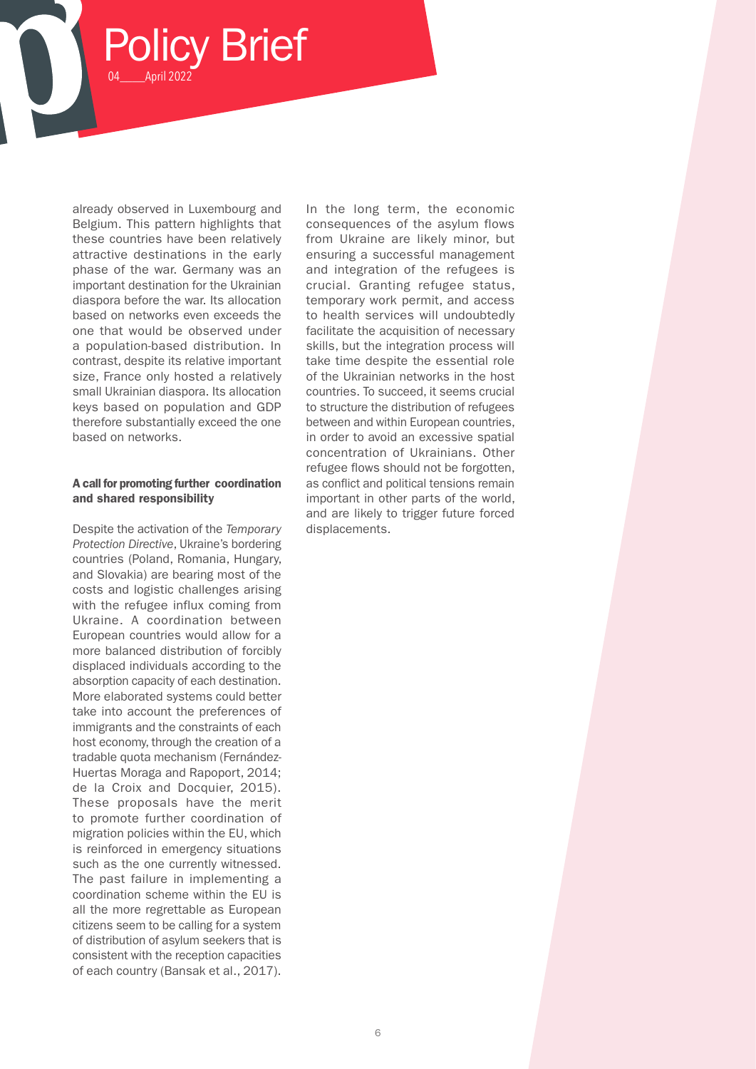already observed in Luxembourg and Belgium. This pattern highlights that these countries have been relatively attractive destinations in the early phase of the war. Germany was an important destination for the Ukrainian diaspora before the war. Its allocation based on networks even exceeds the one that would be observed under a population-based distribution. In contrast, despite its relative important size, France only hosted a relatively small Ukrainian diaspora. Its allocation keys based on population and GDP therefore substantially exceed the one based on networks.

Policy Brief

04\_\_\_\_April 2022

#### A call for promoting further coordination and shared responsibility

Despite the activation of the *Temporary Protection Directive*, Ukraine's bordering countries (Poland, Romania, Hungary, and Slovakia) are bearing most of the costs and logistic challenges arising with the refugee influx coming from Ukraine. A coordination between European countries would allow for a more balanced distribution of forcibly displaced individuals according to the absorption capacity of each destination. More elaborated systems could better take into account the preferences of immigrants and the constraints of each host economy, through the creation of a tradable quota mechanism (Fernández-Huertas Moraga and Rapoport, 2014; de la Croix and Docquier, 2015). These proposals have the merit to promote further coordination of migration policies within the EU, which is reinforced in emergency situations such as the one currently witnessed. The past failure in implementing a coordination scheme within the EU is all the more regrettable as European citizens seem to be calling for a system of distribution of asylum seekers that is consistent with the reception capacities of each country (Bansak et al., 2017).

In the long term, the economic consequences of the asylum flows from Ukraine are likely minor, but ensuring a successful management and integration of the refugees is crucial. Granting refugee status, temporary work permit, and access to health services will undoubtedly facilitate the acquisition of necessary skills, but the integration process will take time despite the essential role of the Ukrainian networks in the host countries. To succeed, it seems crucial to structure the distribution of refugees between and within European countries, in order to avoid an excessive spatial concentration of Ukrainians. Other refugee flows should not be forgotten, as conflict and political tensions remain important in other parts of the world, and are likely to trigger future forced displacements.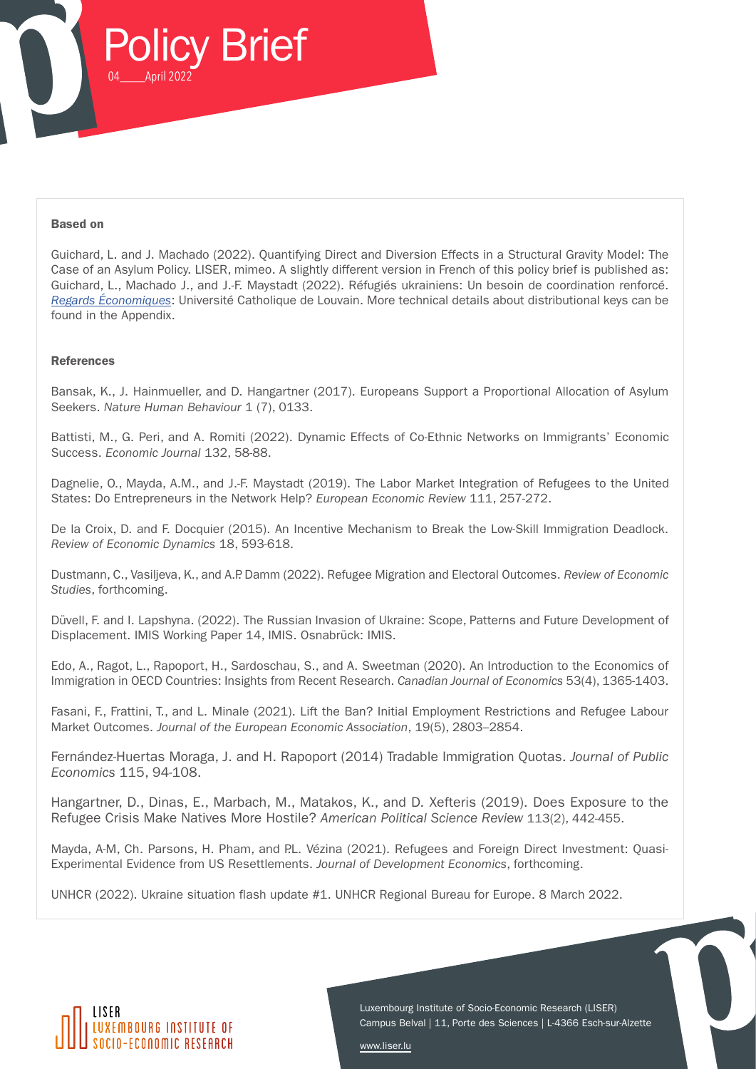

#### Based on

Guichard, L. and J. Machado (2022). Quantifying Direct and Diversion Effects in a Structural Gravity Model: The Case of an Asylum Policy. LISER, mimeo. A slightly different version in French of this policy brief is published as: Guichard, L., Machado J., and J.-F. Maystadt (2022). Réfugiés ukrainiens: Un besoin de coordination renforcé. *Regards Économiques*: Université Catholique de Louvain. More technical details about distributional keys can be found in the Appendix.

#### **References**

Bansak, K., J. Hainmueller, and D. Hangartner (2017). Europeans Support a Proportional Allocation of Asylum Seekers. *Nature Human Behaviour* 1 (7), 0133.

Battisti, M., G. Peri, and A. Romiti (2022). Dynamic Effects of Co-Ethnic Networks on Immigrants' Economic Success. *Economic Journal* 132, 58-88.

Dagnelie, O., Mayda, A.M., and J.-F. Maystadt (2019). The Labor Market Integration of Refugees to the United States: Do Entrepreneurs in the Network Help? *European Economic Review* 111, 257-272.

De la Croix, D. and F. Docquier (2015). An Incentive Mechanism to Break the Low-Skill Immigration Deadlock. *Review of Economic Dynamics* 18, 593-618.

Dustmann, C., Vasiljeva, K., and A.P. Damm (2022). Refugee Migration and Electoral Outcomes. *Review of Economic Studies*, forthcoming.

Düvell, F. and I. Lapshyna. (2022). The Russian Invasion of Ukraine: Scope, Patterns and Future Development of Displacement. IMIS Working Paper 14, IMIS. Osnabrück: IMIS.

Edo, A., Ragot, L., Rapoport, H., Sardoschau, S., and A. Sweetman (2020). An Introduction to the Economics of Immigration in OECD Countries: Insights from Recent Research. *Canadian Journal of Economics* 53(4), 1365-1403.

Fasani, F., Frattini, T., and L. Minale (2021). Lift the Ban? Initial Employment Restrictions and Refugee Labour Market Outcomes. *Journal of the European Economic Association*, 19(5), 2803–2854.

Fernández-Huertas Moraga, J. and H. Rapoport (2014) Tradable Immigration Quotas. *Journal of Public Economics* 115, 94-108.

Hangartner, D., Dinas, E., Marbach, M., Matakos, K., and D. Xefteris (2019). Does Exposure to the Refugee Crisis Make Natives More Hostile? *American Political Science Review* 113(2), 442-455.

Mayda, A-M, Ch. Parsons, H. Pham, and P.L. Vézina (2021). Refugees and Foreign Direct Investment: Quasi-Experimental Evidence from US Resettlements. *Journal of Development Economics*, forthcoming.

UNHCR (2022). Ukraine situation flash update #1. UNHCR Regional Bureau for Europe. 8 March 2022.



Luxembourg Institute of Socio-Economic Research (LISER) Campus Belval | 11, Porte des Sciences | L-4366 Esch-sur-Alzette

[www.liser.lu](https://www.liser.lu)